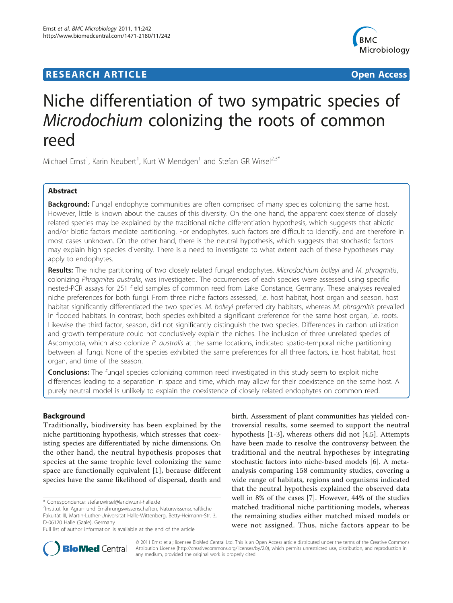# **RESEARCH ARTICLE Example 2018 12:30 THE Open Access**



# Niche differentiation of two sympatric species of Microdochium colonizing the roots of common reed

Michael Ernst<sup>1</sup>, Karin Neubert<sup>1</sup>, Kurt W Mendgen<sup>1</sup> and Stefan GR Wirsel<sup>2,3\*</sup>

# Abstract

Background: Fungal endophyte communities are often comprised of many species colonizing the same host. However, little is known about the causes of this diversity. On the one hand, the apparent coexistence of closely related species may be explained by the traditional niche differentiation hypothesis, which suggests that abiotic and/or biotic factors mediate partitioning. For endophytes, such factors are difficult to identify, and are therefore in most cases unknown. On the other hand, there is the neutral hypothesis, which suggests that stochastic factors may explain high species diversity. There is a need to investigate to what extent each of these hypotheses may apply to endophytes.

Results: The niche partitioning of two closely related fungal endophytes, Microdochium bolleyi and M. phragmitis, colonizing Phragmites australis, was investigated. The occurrences of each species were assessed using specific nested-PCR assays for 251 field samples of common reed from Lake Constance, Germany. These analyses revealed niche preferences for both fungi. From three niche factors assessed, i.e. host habitat, host organ and season, host habitat significantly differentiated the two species. M. bolleyi preferred dry habitats, whereas M. phragmitis prevailed in flooded habitats. In contrast, both species exhibited a significant preference for the same host organ, i.e. roots. Likewise the third factor, season, did not significantly distinguish the two species. Differences in carbon utilization and growth temperature could not conclusively explain the niches. The inclusion of three unrelated species of Ascomycota, which also colonize P. australis at the same locations, indicated spatio-temporal niche partitioning between all fungi. None of the species exhibited the same preferences for all three factors, i.e. host habitat, host organ, and time of the season.

**Conclusions:** The fungal species colonizing common reed investigated in this study seem to exploit niche differences leading to a separation in space and time, which may allow for their coexistence on the same host. A purely neutral model is unlikely to explain the coexistence of closely related endophytes on common reed.

# Background

Traditionally, biodiversity has been explained by the niche partitioning hypothesis, which stresses that coexisting species are differentiated by niche dimensions. On the other hand, the neutral hypothesis proposes that species at the same trophic level colonizing the same space are functionally equivalent [[1\]](#page-11-0), because different species have the same likelihood of dispersal, death and

\* Correspondence: [stefan.wirsel@landw.uni-halle.de](mailto:stefan.wirsel@landw.uni-halle.de)

birth. Assessment of plant communities has yielded controversial results, some seemed to support the neutral hypothesis [[1-3](#page-11-0)], whereas others did not [\[4](#page-11-0),[5\]](#page-11-0). Attempts have been made to resolve the controversy between the traditional and the neutral hypotheses by integrating stochastic factors into niche-based models [\[6](#page-11-0)]. A metaanalysis comparing 158 community studies, covering a wide range of habitats, regions and organisms indicated that the neutral hypothesis explained the observed data well in 8% of the cases [\[7](#page-11-0)]. However, 44% of the studies matched traditional niche partitioning models, whereas the remaining studies either matched mixed models or were not assigned. Thus, niche factors appear to be



© 2011 Ernst et al; licensee BioMed Central Ltd. This is an Open Access article distributed under the terms of the Creative Commons Attribution License [\(http://creativecommons.org/licenses/by/2.0](http://creativecommons.org/licenses/by/2.0)), which permits unrestricted use, distribution, and reproduction in any medium, provided the original work is properly cited.

<sup>&</sup>lt;sup>2</sup>Institut für Agrar- und Ernährungswissenschaften, Naturwissenschaftliche Fakultät III, Martin-Luther-Universität Halle-Wittenberg, Betty-Heimann-Str. 3, D-06120 Halle (Saale), Germany

Full list of author information is available at the end of the article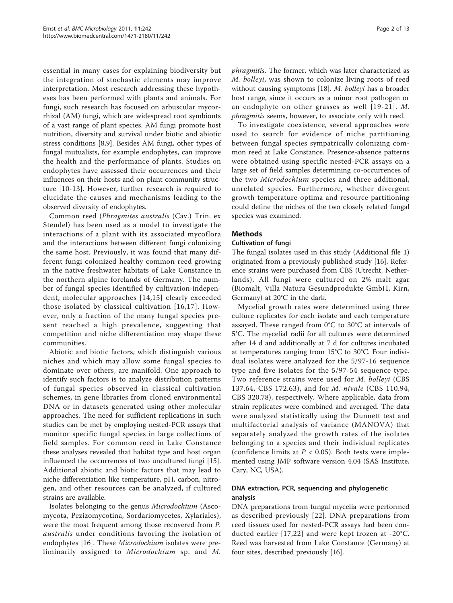essential in many cases for explaining biodiversity but the integration of stochastic elements may improve interpretation. Most research addressing these hypotheses has been performed with plants and animals. For fungi, such research has focused on arbuscular mycorrhizal (AM) fungi, which are widespread root symbionts of a vast range of plant species. AM fungi promote host nutrition, diversity and survival under biotic and abiotic stress conditions [\[8](#page-11-0),[9\]](#page-11-0). Besides AM fungi, other types of fungal mutualists, for example endophytes, can improve the health and the performance of plants. Studies on endophytes have assessed their occurrences and their influences on their hosts and on plant community structure [[10](#page-11-0)-[13\]](#page-11-0). However, further research is required to elucidate the causes and mechanisms leading to the observed diversity of endophytes.

Common reed (Phragmites australis (Cav.) Trin. ex Steudel) has been used as a model to investigate the interactions of a plant with its associated mycoflora and the interactions between different fungi colonizing the same host. Previously, it was found that many different fungi colonized healthy common reed growing in the native freshwater habitats of Lake Constance in the northern alpine forelands of Germany. The number of fungal species identified by cultivation-independent, molecular approaches [[14,15\]](#page-11-0) clearly exceeded those isolated by classical cultivation [[16](#page-11-0),[17](#page-11-0)]. However, only a fraction of the many fungal species present reached a high prevalence, suggesting that competition and niche differentiation may shape these communities.

Abiotic and biotic factors, which distinguish various niches and which may allow some fungal species to dominate over others, are manifold. One approach to identify such factors is to analyze distribution patterns of fungal species observed in classical cultivation schemes, in gene libraries from cloned environmental DNA or in datasets generated using other molecular approaches. The need for sufficient replications in such studies can be met by employing nested-PCR assays that monitor specific fungal species in large collections of field samples. For common reed in Lake Constance these analyses revealed that habitat type and host organ influenced the occurrences of two uncultured fungi [\[15](#page-11-0)]. Additional abiotic and biotic factors that may lead to niche differentiation like temperature, pH, carbon, nitrogen, and other resources can be analyzed, if cultured strains are available.

Isolates belonging to the genus Microdochium (Ascomycota, Pezizomycotina, Sordariomycetes, Xylariales), were the most frequent among those recovered from P. australis under conditions favoring the isolation of endophytes [\[16](#page-11-0)]. These Microdochium isolates were preliminarily assigned to Microdochium sp. and M. phragmitis. The former, which was later characterized as M. bolleyi, was shown to colonize living roots of reed without causing symptoms [[18\]](#page-11-0). M. bolleyi has a broader host range, since it occurs as a minor root pathogen or an endophyte on other grasses as well [[19-21](#page-11-0)]. M. phragmitis seems, however, to associate only with reed.

To investigate coexistence, several approaches were used to search for evidence of niche partitioning between fungal species sympatrically colonizing common reed at Lake Constance. Presence-absence patterns were obtained using specific nested-PCR assays on a large set of field samples determining co-occurrences of the two Microdochium species and three additional, unrelated species. Furthermore, whether divergent growth temperature optima and resource partitioning could define the niches of the two closely related fungal species was examined.

# **Methods**

# Cultivation of fungi

The fungal isolates used in this study (Additional file [1](#page-10-0)) originated from a previously published study [\[16](#page-11-0)]. Reference strains were purchased from CBS (Utrecht, Netherlands). All fungi were cultured on 2% malt agar (Biomalt, Villa Natura Gesundprodukte GmbH, Kirn, Germany) at 20°C in the dark.

Mycelial growth rates were determined using three culture replicates for each isolate and each temperature assayed. These ranged from 0°C to 30°C at intervals of 5°C. The mycelial radii for all cultures were determined after 14 d and additionally at 7 d for cultures incubated at temperatures ranging from 15°C to 30°C. Four individual isolates were analyzed for the 5/97-16 sequence type and five isolates for the 5/97-54 sequence type. Two reference strains were used for M. bolleyi (CBS 137.64, CBS 172.63), and for M. nivale (CBS 110.94, CBS 320.78), respectively. Where applicable, data from strain replicates were combined and averaged. The data were analyzed statistically using the Dunnett test and multifactorial analysis of variance (MANOVA) that separately analyzed the growth rates of the isolates belonging to a species and their individual replicates (confidence limits at  $P < 0.05$ ). Both tests were implemented using JMP software version 4.04 (SAS Institute, Cary, NC, USA).

# DNA extraction, PCR, sequencing and phylogenetic analysis

DNA preparations from fungal mycelia were performed as described previously [[22](#page-11-0)]. DNA preparations from reed tissues used for nested-PCR assays had been conducted earlier [[17](#page-11-0),[22](#page-11-0)] and were kept frozen at -20°C. Reed was harvested from Lake Constance (Germany) at four sites, described previously [\[16](#page-11-0)].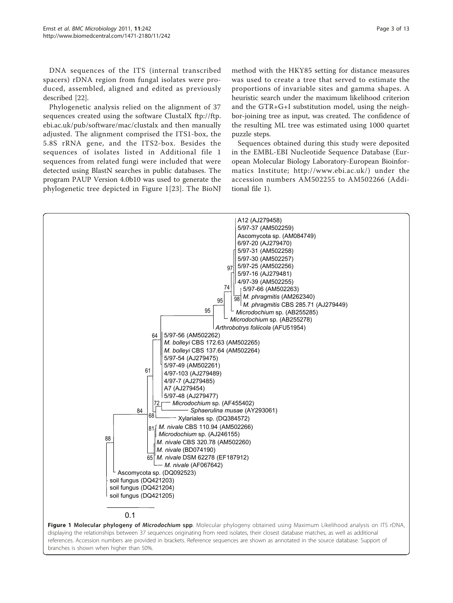<span id="page-2-0"></span>DNA sequences of the ITS (internal transcribed spacers) rDNA region from fungal isolates were produced, assembled, aligned and edited as previously described [[22](#page-11-0)].

Phylogenetic analysis relied on the alignment of 37 sequences created using the software ClustalX [ftp://ftp.](ftp://ftp.ebi.ac.uk/pub/software/mac/clustalx) [ebi.ac.uk/pub/software/mac/clustalx](ftp://ftp.ebi.ac.uk/pub/software/mac/clustalx) and then manually adjusted. The alignment comprised the ITS1-box, the 5.8S rRNA gene, and the ITS2-box. Besides the sequences of isolates listed in Additional file [1](#page-10-0) sequences from related fungi were included that were detected using BlastN searches in public databases. The program PAUP Version 4.0b10 was used to generate the phylogenetic tree depicted in Figure 1[[23\]](#page-11-0). The BioNJ

method with the HKY85 setting for distance measures was used to create a tree that served to estimate the proportions of invariable sites and gamma shapes. A heuristic search under the maximum likelihood criterion and the GTR+G+I substitution model, using the neighbor-joining tree as input, was created. The confidence of the resulting ML tree was estimated using 1000 quartet puzzle steps.

Sequences obtained during this study were deposited in the EMBL-EBI Nucleotide Sequence Database (European Molecular Biology Laboratory-European Bioinformatics Institute; [http://www.ebi.ac.uk/\)](http://www.ebi.ac.uk/) under the accession numbers AM502255 to AM502266 (Additional file [1](#page-10-0)).

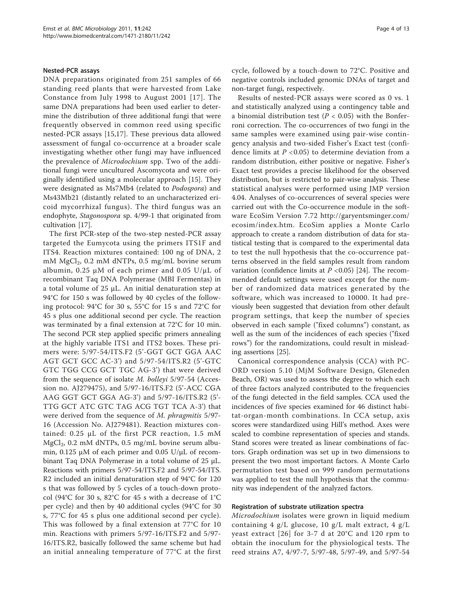#### Nested-PCR assays

DNA preparations originated from 251 samples of 66 standing reed plants that were harvested from Lake Constance from July 1998 to August 2001 [[17\]](#page-11-0). The same DNA preparations had been used earlier to determine the distribution of three additional fungi that were frequently observed in common reed using specific nested-PCR assays [[15](#page-11-0),[17\]](#page-11-0). These previous data allowed assessment of fungal co-occurrence at a broader scale investigating whether other fungi may have influenced the prevalence of Microdochium spp. Two of the additional fungi were uncultured Ascomycota and were originally identified using a molecular approach [\[15\]](#page-11-0). They were designated as Ms7Mb4 (related to Podospora) and Ms43Mb21 (distantly related to an uncharacterized ericoid mycorrhizal fungus). The third fungus was an endophyte, Stagonospora sp. 4/99-1 that originated from cultivation [[17\]](#page-11-0).

The first PCR-step of the two-step nested-PCR assay targeted the Eumycota using the primers ITS1F and ITS4. Reaction mixtures contained: 100 ng of DNA, 2 mM  $MgCl<sub>2</sub>$ , 0.2 mM dNTPs, 0.5 mg/mL bovine serum albumin, 0.25  $\mu$ M of each primer and 0.05 U/ $\mu$ L of recombinant Taq DNA Polymerase (MBI Fermentas) in a total volume of 25 μL. An initial denaturation step at 94°C for 150 s was followed by 40 cycles of the following protocol: 94°C for 30 s, 55°C for 15 s and 72°C for 45 s plus one additional second per cycle. The reaction was terminated by a final extension at 72°C for 10 min. The second PCR step applied specific primers annealing at the highly variable ITS1 and ITS2 boxes. These primers were: 5/97-54/ITS.F2 (5'-GGT GCT GGA AAC AGT GCT GCC AC-3') and 5/97-54/ITS.R2 (5'-GTC GTC TGG CCG GCT TGC AG-3') that were derived from the sequence of isolate M. bolleyi 5/97-54 (Accession no. AJ279475), and 5/97-16/ITS.F2 (5'-ACC CGA AAG GGT GCT GGA AG-3') and 5/97-16/ITS.R2 (5'- TTG GCT ATC GTC TAG ACG TGT TCA A-3') that were derived from the sequence of M. phragmitis 5/97- 16 (Accession No. AJ279481). Reaction mixtures contained: 0.25 μL of the first PCR reaction, 1.5 mM  $MgCl<sub>2</sub>$ , 0.2 mM dNTPs, 0.5 mg/mL bovine serum albumin, 0.125 μM of each primer and 0.05 U/μL of recombinant Taq DNA Polymerase in a total volume of 25 μL. Reactions with primers 5/97-54/ITS.F2 and 5/97-54/ITS. R2 included an initial denaturation step of 94°C for 120 s that was followed by 5 cycles of a touch-down protocol (94°C for 30 s, 82°C for 45 s with a decrease of 1°C per cycle) and then by 40 additional cycles (94°C for 30 s, 77°C for 45 s plus one additional second per cycle). This was followed by a final extension at 77°C for 10 min. Reactions with primers 5/97-16/ITS.F2 and 5/97- 16/ITS.R2, basically followed the same scheme but had an initial annealing temperature of 77°C at the first cycle, followed by a touch-down to 72°C. Positive and negative controls included genomic DNAs of target and non-target fungi, respectively.

Results of nested-PCR assays were scored as 0 vs. 1 and statistically analyzed using a contingency table and a binomial distribution test ( $P < 0.05$ ) with the Bonferroni correction. The co-occurrences of two fungi in the same samples were examined using pair-wise contingency analysis and two-sided Fisher's Exact test (confidence limits at  $P < 0.05$ ) to determine deviation from a random distribution, either positive or negative. Fisher's Exact test provides a precise likelihood for the observed distribution, but is restricted to pair-wise analysis. These statistical analyses were performed using JMP version 4.04. Analyses of co-occurrences of several species were carried out with the Co-occurrence module in the software EcoSim Version 7.72 [http://garyentsminger.com/](http://garyentsminger.com/ecosim/index.htm) [ecosim/index.htm](http://garyentsminger.com/ecosim/index.htm). EcoSim applies a Monte Carlo approach to create a random distribution of data for statistical testing that is compared to the experimental data to test the null hypothesis that the co-occurrence patterns observed in the field samples result from random variation (confidence limits at  $P < 0.05$ ) [[24](#page-11-0)]. The recommended default settings were used except for the number of randomized data matrices generated by the software, which was increased to 10000. It had previously been suggested that deviation from other default program settings, that keep the number of species observed in each sample ("fixed columns") constant, as well as the sum of the incidences of each species ("fixed rows") for the randomizations, could result in misleading assertions [[25\]](#page-11-0).

Canonical correspondence analysis (CCA) with PC-ORD version 5.10 (MjM Software Design, Gleneden Beach, OR) was used to assess the degree to which each of three factors analyzed contributed to the frequencies of the fungi detected in the field samples. CCA used the incidences of five species examined for 46 distinct habitat-organ-month combinations. In CCA setup, axis scores were standardized using Hill's method. Axes were scaled to combine representation of species and stands. Stand scores were treated as linear combinations of factors. Graph ordination was set up in two dimensions to present the two most important factors. A Monte Carlo permutation test based on 999 random permutations was applied to test the null hypothesis that the community was independent of the analyzed factors.

#### Registration of substrate utilization spectra

Microdochium isolates were grown in liquid medium containing 4 g/L glucose, 10 g/L malt extract, 4 g/L yeast extract [[26\]](#page-11-0) for 3-7 d at 20°C and 120 rpm to obtain the inoculum for the physiological tests. The reed strains A7, 4/97-7, 5/97-48, 5/97-49, and 5/97-54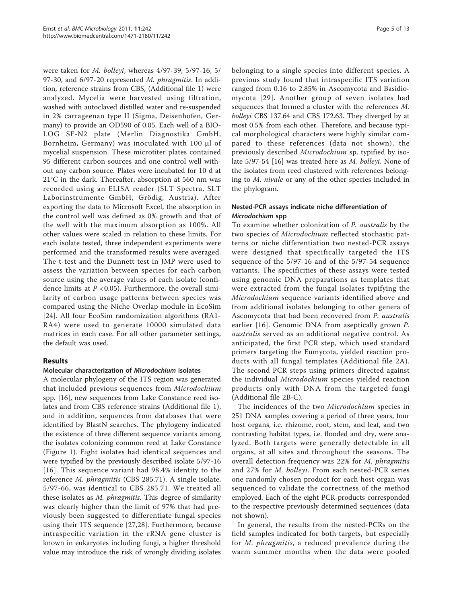were taken for M. bolleyi, whereas 4/97-39, 5/97-16, 5/ 97-30, and 6/97-20 represented M. phragmitis. In addition, reference strains from CBS, (Additional file [1\)](#page-10-0) were analyzed. Mycelia were harvested using filtration, washed with autoclaved distilled water and re-suspended in 2% carrageenan type II (Sigma, Deisenhofen, Germany) to provide an OD590 of 0.05. Each well of a BIO-LOG SF-N2 plate (Merlin Diagnostika GmbH, Bornheim, Germany) was inoculated with 100 μl of mycelial suspension. These microtiter plates contained 95 different carbon sources and one control well without any carbon source. Plates were incubated for 10 d at 21°C in the dark. Thereafter, absorption at 560 nm was recorded using an ELISA reader (SLT Spectra, SLT Laborinstrumente GmbH, Grödig, Austria). After exporting the data to Microsoft Excel, the absorption in the control well was defined as 0% growth and that of the well with the maximum absorption as 100%. All other values were scaled in relation to these limits. For each isolate tested, three independent experiments were performed and the transformed results were averaged. The t-test and the Dunnett test in JMP were used to assess the variation between species for each carbon source using the average values of each isolate (confidence limits at  $P < 0.05$ ). Furthermore, the overall similarity of carbon usage patterns between species was compared using the Niche Overlap module in EcoSim [[24](#page-11-0)]. All four EcoSim randomization algorithms (RA1- RA4) were used to generate 10000 simulated data matrices in each case. For all other parameter settings, the default was used.

# Results

# Molecular characterization of Microdochium isolates

A molecular phylogeny of the ITS region was generated that included previous sequences from Microdochium spp. [[16](#page-11-0)], new sequences from Lake Constance reed isolates and from CBS reference strains (Additional file [1](#page-10-0)), and in addition, sequences from databases that were identified by BlastN searches. The phylogeny indicated the existence of three different sequence variants among the isolates colonizing common reed at Lake Constance (Figure [1](#page-2-0)). Eight isolates had identical sequences and were typified by the previously described isolate 5/97-16 [[16\]](#page-11-0). This sequence variant had 98.4% identity to the reference M. phragmitis (CBS 285.71). A single isolate, 5/97-66, was identical to CBS 285.71. We treated all these isolates as *M. phragmitis*. This degree of similarity was clearly higher than the limit of 97% that had previously been suggested to differentiate fungal species using their ITS sequence [\[27](#page-11-0),[28\]](#page-11-0). Furthermore, because intraspecific variation in the rRNA gene cluster is known in eukaryotes including fungi, a higher threshold value may introduce the risk of wrongly dividing isolates belonging to a single species into different species. A previous study found that intraspecific ITS variation ranged from 0.16 to 2.85% in Ascomycota and Basidiomycota [[29](#page-11-0)]. Another group of seven isolates had sequences that formed a cluster with the references M. bolleyi CBS 137.64 and CBS 172.63. They diverged by at most 0.5% from each other. Therefore, and because typical morphological characters were highly similar compared to these references (data not shown), the previously described Microdochium sp. typified by isolate 5/97-54 [[16](#page-11-0)] was treated here as M. bolleyi. None of the isolates from reed clustered with references belonging to M. nivale or any of the other species included in the phylogram.

# Nested-PCR assays indicate niche differentiation of Microdochium spp

To examine whether colonization of P. australis by the two species of Microdochium reflected stochastic patterns or niche differentiation two nested-PCR assays were designed that specifically targeted the ITS sequence of the 5/97-16 and of the 5/97-54 sequence variants. The specificities of these assays were tested using genomic DNA preparations as templates that were extracted from the fungal isolates typifying the Microdochium sequence variants identified above and from additional isolates belonging to other genera of Ascomycota that had been recovered from P. australis earlier [[16\]](#page-11-0). Genomic DNA from aseptically grown P. australis served as an additional negative control. As anticipated, the first PCR step, which used standard primers targeting the Eumycota, yielded reaction products with all fungal templates (Additional file [2A\)](#page-10-0). The second PCR steps using primers directed against the individual Microdochium species yielded reaction products only with DNA from the targeted fungi (Additional file [2B-C\)](#page-10-0).

The incidences of the two Microdochium species in 251 DNA samples covering a period of three years, four host organs, i.e. rhizome, root, stem, and leaf, and two contrasting habitat types, i.e. flooded and dry, were analyzed. Both targets were generally detectable in all organs, at all sites and throughout the seasons. The overall detection frequency was 22% for M. phragmitis and 27% for M. bolleyi. From each nested-PCR series one randomly chosen product for each host organ was sequenced to validate the correctness of the method employed. Each of the eight PCR-products corresponded to the respective previously determined sequences (data not shown).

In general, the results from the nested-PCRs on the field samples indicated for both targets, but especially for *M. phragmitis*, a reduced prevalence during the warm summer months when the data were pooled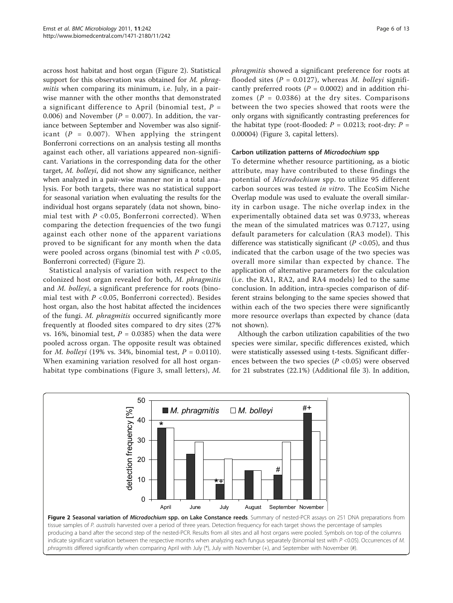across host habitat and host organ (Figure 2). Statistical support for this observation was obtained for *M. phrag*mitis when comparing its minimum, i.e. July, in a pairwise manner with the other months that demonstrated a significant difference to April (binomial test,  $P =$ 0.006) and November ( $P = 0.007$ ). In addition, the variance between September and November was also significant ( $P = 0.007$ ). When applying the stringent Bonferroni corrections on an analysis testing all months against each other, all variations appeared non-significant. Variations in the corresponding data for the other target, M. bolleyi, did not show any significance, neither when analyzed in a pair-wise manner nor in a total analysis. For both targets, there was no statistical support for seasonal variation when evaluating the results for the individual host organs separately (data not shown, binomial test with  $P < 0.05$ , Bonferroni corrected). When comparing the detection frequencies of the two fungi against each other none of the apparent variations proved to be significant for any month when the data were pooled across organs (binomial test with  $P < 0.05$ , Bonferroni corrected) (Figure 2).

Statistical analysis of variation with respect to the colonized host organ revealed for both, M. phragmitis and M. bolleyi, a significant preference for roots (binomial test with  $P < 0.05$ , Bonferroni corrected). Besides host organ, also the host habitat affected the incidences of the fungi. M. phragmitis occurred significantly more frequently at flooded sites compared to dry sites (27% vs. 16%, binomial test,  $P = 0.0385$ ) when the data were pooled across organ. The opposite result was obtained for *M. bolleyi* (19% vs. 34%, binomial test,  $P = 0.0110$ ). When examining variation resolved for all host organhabitat type combinations (Figure [3](#page-6-0), small letters), M. phragmitis showed a significant preference for roots at flooded sites ( $P = 0.0127$ ), whereas M. bolleyi significantly preferred roots ( $P = 0.0002$ ) and in addition rhizomes ( $P = 0.0386$ ) at the dry sites. Comparisons between the two species showed that roots were the only organs with significantly contrasting preferences for the habitat type (root-flooded:  $P = 0.0213$ ; root-dry:  $P =$ 0.00004) (Figure [3](#page-6-0), capital letters).

# Carbon utilization patterns of Microdochium spp

To determine whether resource partitioning, as a biotic attribute, may have contributed to these findings the potential of Microdochium spp. to utilize 95 different carbon sources was tested in vitro. The EcoSim Niche Overlap module was used to evaluate the overall similarity in carbon usage. The niche overlap index in the experimentally obtained data set was 0.9733, whereas the mean of the simulated matrices was 0.7127, using default parameters for calculation (RA3 model). This difference was statistically significant ( $P < 0.05$ ), and thus indicated that the carbon usage of the two species was overall more similar than expected by chance. The application of alternative parameters for the calculation (i.e. the RA1, RA2, and RA4 models) led to the same conclusion. In addition, intra-species comparison of different strains belonging to the same species showed that within each of the two species there were significantly more resource overlaps than expected by chance (data not shown).

Although the carbon utilization capabilities of the two species were similar, specific differences existed, which were statistically assessed using t-tests. Significant differences between the two species  $(P < 0.05)$  were observed for 21 substrates (22.1%) (Additional file [3\)](#page-10-0). In addition,

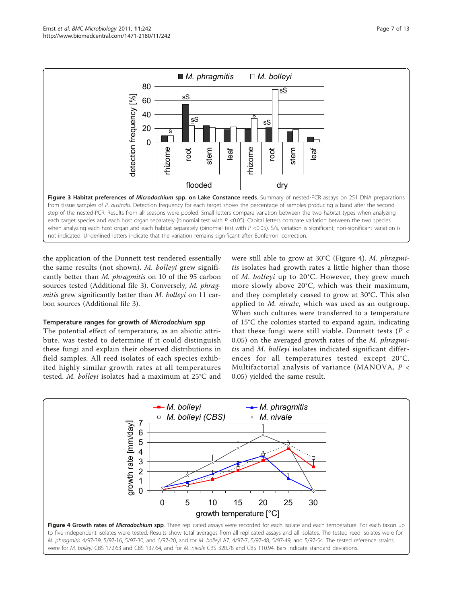<span id="page-6-0"></span>

the application of the Dunnett test rendered essentially the same results (not shown). M. bolleyi grew significantly better than M. phragmitis on 10 of the 95 carbon sources tested (Additional file [3\)](#page-10-0). Conversely, M. phragmitis grew significantly better than M. bolleyi on 11 carbon sources (Additional file [3\)](#page-10-0).

# Temperature ranges for growth of Microdochium spp

The potential effect of temperature, as an abiotic attribute, was tested to determine if it could distinguish these fungi and explain their observed distributions in field samples. All reed isolates of each species exhibited highly similar growth rates at all temperatures tested. M. bolleyi isolates had a maximum at 25°C and were still able to grow at 30°C (Figure 4). M. phragmitis isolates had growth rates a little higher than those of M. bolleyi up to 20°C. However, they grew much more slowly above 20°C, which was their maximum, and they completely ceased to grow at 30°C. This also applied to M. nivale, which was used as an outgroup. When such cultures were transferred to a temperature of 15°C the colonies started to expand again, indicating that these fungi were still viable. Dunnett tests ( $P \lt \mathcal{P}$ 0.05) on the averaged growth rates of the  $M$ . phragmitis and M. bolleyi isolates indicated significant differences for all temperatures tested except 20°C. Multifactorial analysis of variance (MANOVA, P < 0.05) yielded the same result.

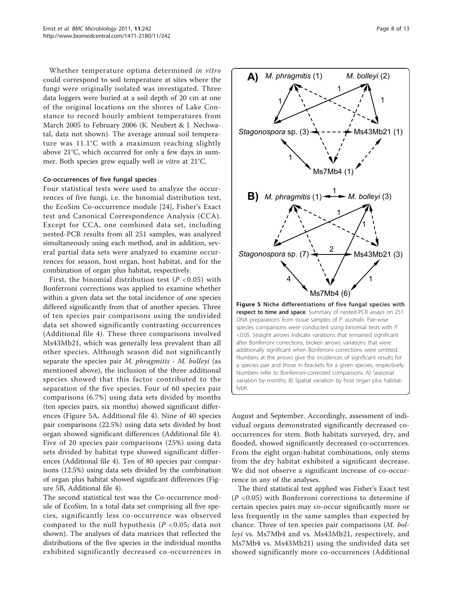<span id="page-7-0"></span>Whether temperature optima determined in vitro could correspond to soil temperature at sites where the fungi were originally isolated was investigated. Three data loggers were buried at a soil depth of 20 cm at one of the original locations on the shores of Lake Constance to record hourly ambient temperatures from March 2005 to February 2006 (K. Neubert & J. Nechwatal, data not shown). The average annual soil temperature was 11.1°C with a maximum reaching slightly above 21°C, which occurred for only a few days in summer. Both species grew equally well in vitro at 21°C.

### Co-occurrences of five fungal species

Four statistical tests were used to analyze the occurrences of five fungi, i.e. the binomial distribution test, the EcoSim Co-occurrence module [[24](#page-11-0)], Fisher's Exact test and Canonical Correspondence Analysis (CCA). Except for CCA, one combined data set, including nested-PCR results from all 251 samples, was analyzed simultaneously using each method, and in addition, several partial data sets were analyzed to examine occurrences for season, host organ, host habitat, and for the combination of organ plus habitat, respectively.

First, the binomial distribution test  $(P < 0.05)$  with Bonferroni corrections was applied to examine whether within a given data set the total incidence of one species differed significantly from that of another species. Three of ten species pair comparisons using the undivided data set showed significantly contrasting occurrences (Additional file [4\)](#page-10-0). These three comparisons involved Ms43Mb21, which was generally less prevalent than all other species. Although season did not significantly separate the species pair  $M$ . phragmitis -  $M$ . bolleyi (as mentioned above), the inclusion of the three additional species showed that this factor contributed to the separation of the five species. Four of 60 species pair comparisons (6.7%) using data sets divided by months (ten species pairs, six months) showed significant differences (Figure 5A, Additional file [4](#page-10-0)). Nine of 40 species pair comparisons (22.5%) using data sets divided by host organ showed significant differences (Additional file [4](#page-10-0)). Five of 20 species pair comparisons (25%) using data sets divided by habitat type showed significant differences (Additional file [4\)](#page-10-0). Ten of 80 species pair comparisons (12.5%) using data sets divided by the combination of organ plus habitat showed significant differences (Figure 5B, Additional file [4\)](#page-10-0).

The second statistical test was the Co-occurrence module of EcoSim. In a total data set comprising all five species, significantly less co-occurrence was observed compared to the null hypothesis ( $P$  <0.05; data not shown). The analyses of data matrices that reflected the distributions of the five species in the individual months exhibited significantly decreased co-occurrences in Page 8 of 13



August and September. Accordingly, assessment of individual organs demonstrated significantly decreased cooccurrences for stem. Both habitats surveyed, dry, and flooded, showed significantly decreased co-occurrences. From the eight organ-habitat combinations, only stems from the dry habitat exhibited a significant decrease. We did not observe a significant increase of co-occurrence in any of the analyses.

The third statistical test applied was Fisher's Exact test  $(P<0.05)$  with Bonferroni corrections to determine if certain species pairs may co-occur significantly more or less frequently in the same samples than expected by chance. Three of ten species pair comparisons (M. bolleyi vs. Ms7Mb4 and vs. Ms43Mb21, respectively, and Ms7Mb4 vs. Ms43Mb21) using the undivided data set showed significantly more co-occurrences (Additional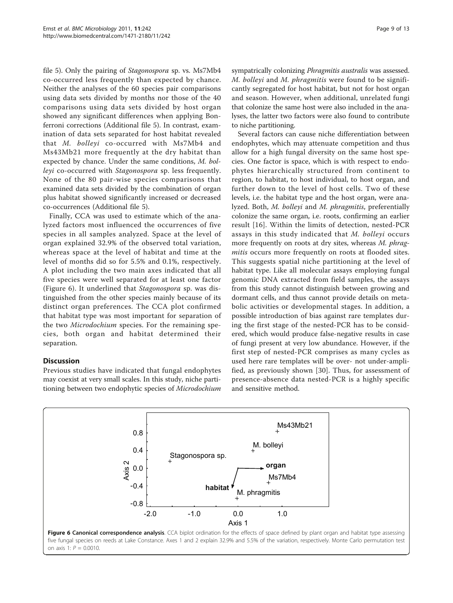file [5](#page-10-0)). Only the pairing of Stagonospora sp. vs. Ms7Mb4 co-occurred less frequently than expected by chance. Neither the analyses of the 60 species pair comparisons using data sets divided by months nor those of the 40 comparisons using data sets divided by host organ showed any significant differences when applying Bonferroni corrections (Additional file [5](#page-10-0)). In contrast, examination of data sets separated for host habitat revealed that M. bolleyi co-occurred with Ms7Mb4 and Ms43Mb21 more frequently at the dry habitat than expected by chance. Under the same conditions, M. bolleyi co-occurred with Stagonospora sp. less frequently. None of the 80 pair-wise species comparisons that examined data sets divided by the combination of organ plus habitat showed significantly increased or decreased co-occurrences (Additional file [5](#page-10-0)).

Finally, CCA was used to estimate which of the analyzed factors most influenced the occurrences of five species in all samples analyzed. Space at the level of organ explained 32.9% of the observed total variation, whereas space at the level of habitat and time at the level of months did so for 5.5% and 0.1%, respectively. A plot including the two main axes indicated that all five species were well separated for at least one factor (Figure 6). It underlined that Stagonospora sp. was distinguished from the other species mainly because of its distinct organ preferences. The CCA plot confirmed that habitat type was most important for separation of the two Microdochium species. For the remaining species, both organ and habitat determined their separation.

# **Discussion**

Previous studies have indicated that fungal endophytes may coexist at very small scales. In this study, niche partitioning between two endophytic species of Microdochium sympatrically colonizing Phragmitis australis was assessed. M. bolleyi and M. phragmitis were found to be significantly segregated for host habitat, but not for host organ and season. However, when additional, unrelated fungi that colonize the same host were also included in the analyses, the latter two factors were also found to contribute to niche partitioning.

Several factors can cause niche differentiation between endophytes, which may attenuate competition and thus allow for a high fungal diversity on the same host species. One factor is space, which is with respect to endophytes hierarchically structured from continent to region, to habitat, to host individual, to host organ, and further down to the level of host cells. Two of these levels, i.e. the habitat type and the host organ, were analyzed. Both, M. bolleyi and M. phragmitis, preferentially colonize the same organ, i.e. roots, confirming an earlier result [\[16\]](#page-11-0). Within the limits of detection, nested-PCR assays in this study indicated that M. bolleyi occurs more frequently on roots at dry sites, whereas M. phragmitis occurs more frequently on roots at flooded sites. This suggests spatial niche partitioning at the level of habitat type. Like all molecular assays employing fungal genomic DNA extracted from field samples, the assays from this study cannot distinguish between growing and dormant cells, and thus cannot provide details on metabolic activities or developmental stages. In addition, a possible introduction of bias against rare templates during the first stage of the nested-PCR has to be considered, which would produce false-negative results in case of fungi present at very low abundance. However, if the first step of nested-PCR comprises as many cycles as used here rare templates will be over- not under-amplified, as previously shown [\[30\]](#page-11-0). Thus, for assessment of presence-absence data nested-PCR is a highly specific and sensitive method.

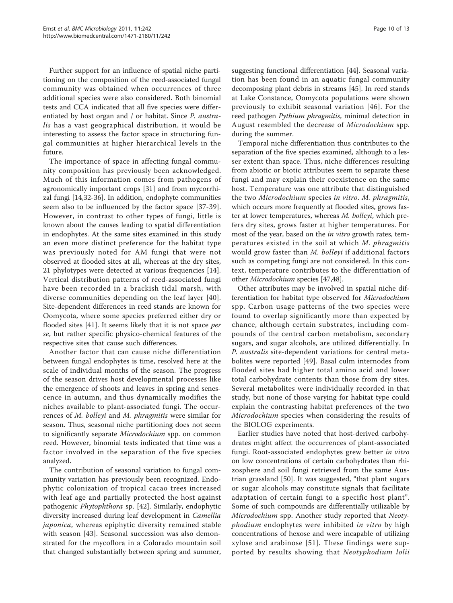Further support for an influence of spatial niche partitioning on the composition of the reed-associated fungal community was obtained when occurrences of three additional species were also considered. Both binomial tests and CCA indicated that all five species were differentiated by host organ and / or habitat. Since P. australis has a vast geographical distribution, it would be interesting to assess the factor space in structuring fungal communities at higher hierarchical levels in the future.

The importance of space in affecting fungal community composition has previously been acknowledged. Much of this information comes from pathogens of agronomically important crops [\[31](#page-11-0)] and from mycorrhizal fungi [\[14,32-36](#page-11-0)]. In addition, endophyte communities seem also to be influenced by the factor space [\[37](#page-11-0)-[39](#page-11-0)]. However, in contrast to other types of fungi, little is known about the causes leading to spatial differentiation in endophytes. At the same sites examined in this study an even more distinct preference for the habitat type was previously noted for AM fungi that were not observed at flooded sites at all, whereas at the dry sites, 21 phylotypes were detected at various frequencies [\[14](#page-11-0)]. Vertical distribution patterns of reed-associated fungi have been recorded in a brackish tidal marsh, with diverse communities depending on the leaf layer [[40\]](#page-11-0). Site-dependent differences in reed stands are known for Oomycota, where some species preferred either dry or flooded sites [\[41\]](#page-11-0). It seems likely that it is not space per se, but rather specific physico-chemical features of the respective sites that cause such differences.

Another factor that can cause niche differentiation between fungal endophytes is time, resolved here at the scale of individual months of the season. The progress of the season drives host developmental processes like the emergence of shoots and leaves in spring and senescence in autumn, and thus dynamically modifies the niches available to plant-associated fungi. The occurrences of M. bolleyi and M. phragmitis were similar for season. Thus, seasonal niche partitioning does not seem to significantly separate Microdochium spp. on common reed. However, binomial tests indicated that time was a factor involved in the separation of the five species analyzed.

The contribution of seasonal variation to fungal community variation has previously been recognized. Endophytic colonization of tropical cacao trees increased with leaf age and partially protected the host against pathogenic Phytophthora sp. [\[42](#page-11-0)]. Similarly, endophytic diversity increased during leaf development in Camellia japonica, whereas epiphytic diversity remained stable with season [[43](#page-11-0)]. Seasonal succession was also demonstrated for the mycoflora in a Colorado mountain soil that changed substantially between spring and summer, suggesting functional differentiation [[44\]](#page-12-0). Seasonal variation has been found in an aquatic fungal community decomposing plant debris in streams [\[45\]](#page-12-0). In reed stands

at Lake Constance, Oomycota populations were shown previously to exhibit seasonal variation [[46\]](#page-12-0). For the reed pathogen Pythium phragmitis, minimal detection in August resembled the decrease of Microdochium spp. during the summer.

Temporal niche differentiation thus contributes to the separation of the five species examined, although to a lesser extent than space. Thus, niche differences resulting from abiotic or biotic attributes seem to separate these fungi and may explain their coexistence on the same host. Temperature was one attribute that distinguished the two Microdochium species in vitro. M. phragmitis, which occurs more frequently at flooded sites, grows faster at lower temperatures, whereas M. bolleyi, which prefers dry sites, grows faster at higher temperatures. For most of the year, based on the in vitro growth rates, temperatures existed in the soil at which M. phragmitis would grow faster than M. bolleyi if additional factors such as competing fungi are not considered. In this context, temperature contributes to the differentiation of other Microdochium species [[47,48\]](#page-12-0).

Other attributes may be involved in spatial niche differentiation for habitat type observed for Microdochium spp. Carbon usage patterns of the two species were found to overlap significantly more than expected by chance, although certain substrates, including compounds of the central carbon metabolism, secondary sugars, and sugar alcohols, are utilized differentially. In P. australis site-dependent variations for central metabolites were reported [[49\]](#page-12-0). Basal culm internodes from flooded sites had higher total amino acid and lower total carbohydrate contents than those from dry sites. Several metabolites were individually recorded in that study, but none of those varying for habitat type could explain the contrasting habitat preferences of the two Microdochium species when considering the results of the BIOLOG experiments.

Earlier studies have noted that host-derived carbohydrates might affect the occurrences of plant-associated fungi. Root-associated endophytes grew better in vitro on low concentrations of certain carbohydrates than rhizosphere and soil fungi retrieved from the same Austrian grassland [[50](#page-12-0)]. It was suggested, "that plant sugars or sugar alcohols may constitute signals that facilitate adaptation of certain fungi to a specific host plant". Some of such compounds are differentially utilizable by Microdochium spp. Another study reported that Neotyphodium endophytes were inhibited in vitro by high concentrations of hexose and were incapable of utilizing xylose and arabinose [[51\]](#page-12-0). These findings were supported by results showing that Neotyphodium lolii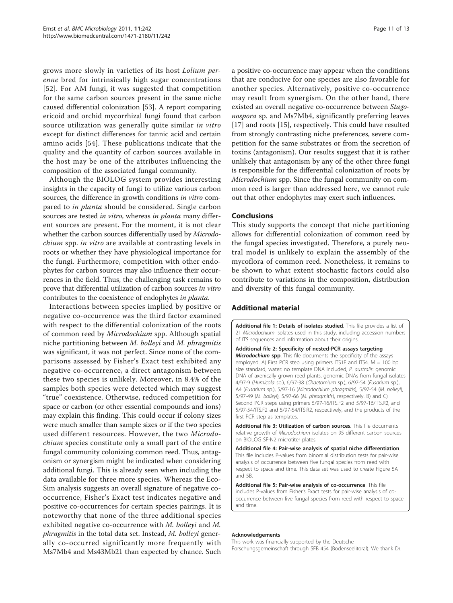<span id="page-10-0"></span>grows more slowly in varieties of its host Lolium perenne bred for intrinsically high sugar concentrations [[52](#page-12-0)]. For AM fungi, it was suggested that competition for the same carbon sources present in the same niche caused differential colonization [\[53](#page-12-0)]. A report comparing ericoid and orchid mycorrhizal fungi found that carbon source utilization was generally quite similar in vitro except for distinct differences for tannic acid and certain amino acids [\[54\]](#page-12-0). These publications indicate that the quality and the quantity of carbon sources available in the host may be one of the attributes influencing the composition of the associated fungal community.

Although the BIOLOG system provides interesting insights in the capacity of fungi to utilize various carbon sources, the difference in growth conditions in vitro compared to in planta should be considered. Single carbon sources are tested in vitro, whereas in planta many different sources are present. For the moment, it is not clear whether the carbon sources differentially used by Microdochium spp. in vitro are available at contrasting levels in roots or whether they have physiological importance for the fungi. Furthermore, competition with other endophytes for carbon sources may also influence their occurrences in the field. Thus, the challenging task remains to prove that differential utilization of carbon sources in vitro contributes to the coexistence of endophytes in planta.

Interactions between species implied by positive or negative co-occurrence was the third factor examined with respect to the differential colonization of the roots of common reed by Microdochium spp. Although spatial niche partitioning between M. bolleyi and M. phragmitis was significant, it was not perfect. Since none of the comparisons assessed by Fisher's Exact test exhibited any negative co-occurrence, a direct antagonism between these two species is unlikely. Moreover, in 8.4% of the samples both species were detected which may suggest "true" coexistence. Otherwise, reduced competition for space or carbon (or other essential compounds and ions) may explain this finding. This could occur if colony sizes were much smaller than sample sizes or if the two species used different resources. However, the two Microdochium species constitute only a small part of the entire fungal community colonizing common reed. Thus, antagonism or synergism might be indicated when considering additional fungi. This is already seen when including the data available for three more species. Whereas the Eco-Sim analysis suggests an overall signature of negative cooccurrence, Fisher's Exact test indicates negative and positive co-occurrences for certain species pairings. It is noteworthy that none of the three additional species exhibited negative co-occurrence with M. bolleyi and M. phragmitis in the total data set. Instead, M. bolleyi generally co-occurred significantly more frequently with Ms7Mb4 and Ms43Mb21 than expected by chance. Such

a positive co-occurrence may appear when the conditions that are conducive for one species are also favorable for another species. Alternatively, positive co-occurrence may result from synergism. On the other hand, there existed an overall negative co-occurrence between Stagonospora sp. and Ms7Mb4, significantly preferring leaves [[17\]](#page-11-0) and roots [\[15\]](#page-11-0), respectively. This could have resulted from strongly contrasting niche preferences, severe competition for the same substrates or from the secretion of toxins (antagonism). Our results suggest that it is rather unlikely that antagonism by any of the other three fungi is responsible for the differential colonization of roots by Microdochium spp. Since the fungal community on common reed is larger than addressed here, we cannot rule out that other endophytes may exert such influences.

# Conclusions

This study supports the concept that niche partitioning allows for differential colonization of common reed by the fungal species investigated. Therefore, a purely neutral model is unlikely to explain the assembly of the mycoflora of common reed. Nonetheless, it remains to be shown to what extent stochastic factors could also contribute to variations in the composition, distribution and diversity of this fungal community.

# Additional material

[Additional file 1: D](http://www.biomedcentral.com/content/supplementary/1471-2180-11-242-S1.PDF)etails of isolates studied. This file provides a list of 21 Microdochium isolates used in this study, including accession numbers of ITS sequences and information about their origins.

[Additional file 2: S](http://www.biomedcentral.com/content/supplementary/1471-2180-11-242-S2.PPT)pecificity of nested-PCR assays targeting Microdochium spp. This file documents the specificity of the assays employed. A) First PCR step using primers ITS1F and ITS4. M = 100 bp size standard, water: no template DNA included, P. australis: genomic DNA of axenically grown reed plants, genomic DNAs from fungal isolates 4/97-9 (Humicola sp.), 6/97-38 (Chaetomium sp.), 6/97-54 (Fusarium sp.), A4 (Fusarium sp.), 5/97-16 (Microdochium phragmitis), 5/97-54 (M. bolleyi), 5/97-49 (M. bolleyi), 5/97-66 (M. phragmitis), respectively. B) and C) Second PCR steps using primers 5/97-16/ITS.F2 and 5/97-16/ITS.R2, and 5/97-54/ITS.F2 and 5/97-54/ITS.R2, respectively, and the products of the first PCR step as templates.

[Additional file 3: U](http://www.biomedcentral.com/content/supplementary/1471-2180-11-242-S3.PDF)tilization of carbon sources. This file documents relative growth of Microdochium isolates on 95 different carbon sources on BIOLOG SF-N2 microtiter plates.

[Additional file 4: P](http://www.biomedcentral.com/content/supplementary/1471-2180-11-242-S4.PDF)air-wise analysis of spatial niche differentiation. This file includes P-values from binomial distribution tests for pair-wise analysis of occurrence between five fungal species from reed with respect to space and time. This data set was used to create Figure [5A](#page-7-0) and [5B](#page-7-0).

[Additional file 5: P](http://www.biomedcentral.com/content/supplementary/1471-2180-11-242-S5.PDF)air-wise analysis of co-occurrence. This file includes P-values from Fisher's Exact tests for pair-wise analysis of cooccurrence between five fungal species from reed with respect to space and time.

#### Acknowledgements

This work was financially supported by the Deutsche Forschungsgemeinschaft through SFB 454 (Bodenseelitoral). We thank Dr.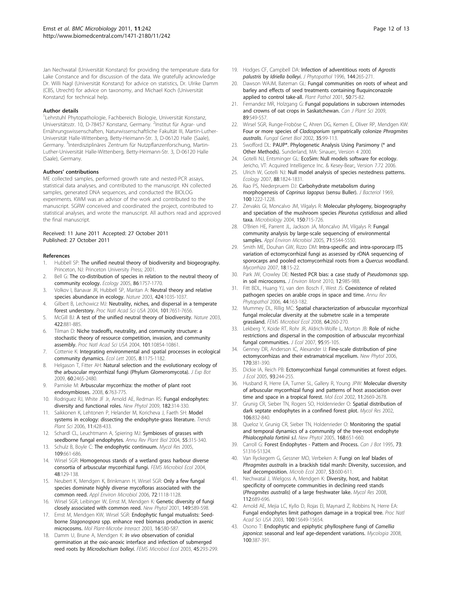<span id="page-11-0"></span>Jan Nechwatal (Universität Konstanz) for providing the temperature data for Lake Constance and for discussion of the data. We gratefully acknowledge Dr. Willi Nagl (Universität Konstanz) for advice on statistics, Dr. Ulrike Damm (CBS, Utrecht) for advice on taxonomy, and Michael Koch (Universität Konstanz) for technical help.

#### Author details

<sup>1</sup>Lehrstuhl Phytopathologie, Fachbereich Biologie, Universität Konstanz, Universitätsstr. 10, D-78457 Konstanz, Germany. <sup>2</sup>Institut für Agrar- und Ernährungswissenschaften, Naturwissenschaftliche Fakultät III, Martin-Luther-Universität Halle-Wittenberg, Betty-Heimann-Str. 3, D-06120 Halle (Saale), Germany. <sup>3</sup>Interdisziplinäres Zentrum für Nutzpflanzenforschung, Martin-Luther-Universität Halle-Wittenberg, Betty-Heimann-Str. 3, D-06120 Halle (Saale), Germany.

#### Authors' contributions

ME collected samples, performed growth rate and nested-PCR assays, statistical data analyses, and contributed to the manuscript. KN collected samples, generated DNA sequences, and conducted the BIOLOG experiments. KWM was an advisor of the work and contributed to the manuscript. SGRW conceived and coordinated the project, contributed to statistical analyses, and wrote the manuscript. All authors read and approved the final manuscript.

#### Received: 11 June 2011 Accepted: 27 October 2011 Published: 27 October 2011

#### References

- 1. Hubbell SP: The unified neutral theory of biodiversity and biogeography. Princeton, NJ: Princeton University Press; 2001.
- 2. Bell G: The co-distribution of species in relation to the neutral theory of community ecology. Ecology 2005, 86:1757-1770.
- 3. Volkov I, Banavar JR, Hubbell SP, Maritan A: [Neutral theory and relative](http://www.ncbi.nlm.nih.gov/pubmed/12944964?dopt=Abstract) [species abundance in ecology.](http://www.ncbi.nlm.nih.gov/pubmed/12944964?dopt=Abstract) Nature 2003, 424:1035-1037.
- 4. Gilbert B, Lechowicz MJ: [Neutrality, niches, and dispersal in a temperate](http://www.ncbi.nlm.nih.gov/pubmed/15128948?dopt=Abstract) [forest understory.](http://www.ncbi.nlm.nih.gov/pubmed/15128948?dopt=Abstract) Proc Natl Acad Sci USA 2004, 101:7651-7656.
- McGill BJ: [A test of the unified neutral theory of biodiversity.](http://www.ncbi.nlm.nih.gov/pubmed/12692564?dopt=Abstract) Nature 2003, 422:881-885.
- 6. Tilman D: [Niche tradeoffs, neutrality, and community structure: a](http://www.ncbi.nlm.nih.gov/pubmed/15243158?dopt=Abstract) [stochastic theory of resource competition, invasion, and community](http://www.ncbi.nlm.nih.gov/pubmed/15243158?dopt=Abstract) [assembly.](http://www.ncbi.nlm.nih.gov/pubmed/15243158?dopt=Abstract) Proc Natl Acad Sci USA 2004, 101:10854-10861.
- 7. Cottenie K: [Integrating environmental and spatial processes in ecological](http://www.ncbi.nlm.nih.gov/pubmed/21352441?dopt=Abstract) [community dynamics.](http://www.ncbi.nlm.nih.gov/pubmed/21352441?dopt=Abstract) Ecol Lett 2005, 8:1175-1182.
- 8. Helgason T, Fitter AH: [Natural selection and the evolutionary ecology of](http://www.ncbi.nlm.nih.gov/pubmed/19429838?dopt=Abstract) [the arbuscular mycorrhizal fungi \(Phylum Glomeromycota\).](http://www.ncbi.nlm.nih.gov/pubmed/19429838?dopt=Abstract) J Exp Bot 2009, 60:2465-2480.
- 9. Parniske M: Arbuscular mycorrhiza: the mother of plant root endosymbioses. 2008, 6:763-775.
- 10. Rodriguez RJ, White JF Jr, Arnold AE, Redman RS: [Fungal endophytes:](http://www.ncbi.nlm.nih.gov/pubmed/19236579?dopt=Abstract) [diversity and functional roles.](http://www.ncbi.nlm.nih.gov/pubmed/19236579?dopt=Abstract) New Phytol 2009, 182:314-330.
- 11. Saikkonen K, Lehtonen P, Helander M, Koricheva J, Faeth SH: [Model](http://www.ncbi.nlm.nih.gov/pubmed/16890473?dopt=Abstract) [systems in ecology: dissecting the endophyte-grass literature.](http://www.ncbi.nlm.nih.gov/pubmed/16890473?dopt=Abstract) Trends Plant Sci 2006, 11:428-433.
- 12. Schardl CL, Leuchtmann A, Spiering MJ: [Symbioses of grasses with](http://www.ncbi.nlm.nih.gov/pubmed/15377223?dopt=Abstract) [seedborne fungal endophytes.](http://www.ncbi.nlm.nih.gov/pubmed/15377223?dopt=Abstract) Annu Rev Plant Biol 2004, 55:315-340.
- 13. Schulz B, Boyle C: [The endophytic continuum.](http://www.ncbi.nlm.nih.gov/pubmed/16080390?dopt=Abstract) Mycol Res 2005, 109:661-686.
- 14. Wirsel SGR: [Homogenous stands of a wetland grass harbour diverse](http://www.ncbi.nlm.nih.gov/pubmed/19712396?dopt=Abstract) [consortia of arbuscular mycorrhizal fungi.](http://www.ncbi.nlm.nih.gov/pubmed/19712396?dopt=Abstract) FEMS Microbiol Ecol 2004, 48:129-138.
- 15. Neubert K, Mendgen K, Brinkmann H, Wirsel SGR: [Only a few fungal](http://www.ncbi.nlm.nih.gov/pubmed/16461657?dopt=Abstract) [species dominate highly diverse mycofloras associated with the](http://www.ncbi.nlm.nih.gov/pubmed/16461657?dopt=Abstract) [common reed.](http://www.ncbi.nlm.nih.gov/pubmed/16461657?dopt=Abstract) Appl Environ Microbiol 2006, 72:1118-1128.
- 16. Wirsel SGR, Leibinger W, Ernst M, Mendgen K: Genetic diversity of fungi closely associated with common reed. New Phytol 2001, 149:589-598.
- 17. Ernst M, Mendgen KW, Wirsel SGR: [Endophytic fungal mutualists: Seed](http://www.ncbi.nlm.nih.gov/pubmed/12848423?dopt=Abstract)borne Stagonospora [spp. enhance reed biomass production in axenic](http://www.ncbi.nlm.nih.gov/pubmed/12848423?dopt=Abstract) [microcosms.](http://www.ncbi.nlm.nih.gov/pubmed/12848423?dopt=Abstract) Mol Plant-Microbe Interact 2003, 16:580-587.
- 18. Damm U, Brune A, Mendgen K: In vivo [observation of conidial](http://www.ncbi.nlm.nih.gov/pubmed/19719598?dopt=Abstract) [germination at the oxic-anoxic interface and infection of submerged](http://www.ncbi.nlm.nih.gov/pubmed/19719598?dopt=Abstract) reed roots by [Microdochium bolleyi](http://www.ncbi.nlm.nih.gov/pubmed/19719598?dopt=Abstract). FEMS Microbiol Ecol 2003, 45:293-299.
- 19. Hodges CF, Campbell DA: Infection of adventitious roots of Agrostis palustris by Idriella bolleyi. J Phytopathol 1996, 144:265-271.
- 20. Dawson WAJM, Bateman GL: Fungal communities on roots of wheat and barley and effects of seed treatments containing fluquinconazole applied to control take-all. Plant Pathol 2001, 50:75-82.
- 21. Fernandez MR, Holzgang G: Fungal populations in subcrown internodes and crowns of oat crops in Saskatchewan. Can J Plant Sci 2009, 89:549-557.
- 22. Wirsel SGR, Runge-Froböse C, Ahren DG, Kemen E, Oliver RP, Mendgen KW: [Four or more species of](http://www.ncbi.nlm.nih.gov/pubmed/11848674?dopt=Abstract) Cladosporium sympatrically colonize Phragmites [australis](http://www.ncbi.nlm.nih.gov/pubmed/11848674?dopt=Abstract). Fungal Genet Biol 2002, 35:99-113.
- 23. Swofford DL: PAUP\*. Phylogenetic Analysis Using Parsimony (\* and Other Methods). Sunderland, MA: Sinauer;, Version 4 2000.
- 24. Gotelli NJ, Entsminger GL: EcoSim: Null models software for ecology. Jericho, VT: Acquired Intelligence Inc. & Kesey-Bear;, Version 7.72 2006.
- 25. Ulrich W, Gotelli NJ: [Null model analysis of species nestedness patterns.](http://www.ncbi.nlm.nih.gov/pubmed/17645028?dopt=Abstract) Ecology 2007, 88:1824-1831.
- 26. Rao PS, Niederpruem DJ: [Carbohydrate metabolism during](http://www.ncbi.nlm.nih.gov/pubmed/5391229?dopt=Abstract) [morphogenesis of](http://www.ncbi.nlm.nih.gov/pubmed/5391229?dopt=Abstract) Coprinus lagopus (sensu Buller). J Bacteriol 1969, 100:1222-1228.
- 27. Zervakis GI, Moncalvo JM, Vilgalys R: [Molecular phylogeny, biogeography](http://www.ncbi.nlm.nih.gov/pubmed/14993321?dopt=Abstract) [and speciation of the mushroom species](http://www.ncbi.nlm.nih.gov/pubmed/14993321?dopt=Abstract) Pleurotus cystidiosus and allied [taxa.](http://www.ncbi.nlm.nih.gov/pubmed/14993321?dopt=Abstract) Microbiology 2004, 150:715-726.
- 28. O'Brien HE, Parrent JL, Jackson JA, Moncalvo JM, Vilgalys R: [Fungal](http://www.ncbi.nlm.nih.gov/pubmed/16151147?dopt=Abstract) [community analysis by large-scale sequencing of environmental](http://www.ncbi.nlm.nih.gov/pubmed/16151147?dopt=Abstract) [samples.](http://www.ncbi.nlm.nih.gov/pubmed/16151147?dopt=Abstract) Appl Environ Microbiol 2005, 71:5544-5550.
- Smith ME, Douhan GW, Rizzo DM: [Intra-specific and intra-sporocarp ITS](http://www.ncbi.nlm.nih.gov/pubmed/17710446?dopt=Abstract) [variation of ectomycorrhizal fungi as assessed by rDNA sequencing of](http://www.ncbi.nlm.nih.gov/pubmed/17710446?dopt=Abstract) [sporocarps and pooled ectomycorrhizal roots from a](http://www.ncbi.nlm.nih.gov/pubmed/17710446?dopt=Abstract) Quercus woodland. Mycorrhiza 2007, 18:15-22.
- 30. Park JW, Crowley DE: [Nested PCR bias: a case study of](http://www.ncbi.nlm.nih.gov/pubmed/20383382?dopt=Abstract) Pseudomonas spp. [in soil microcosms.](http://www.ncbi.nlm.nih.gov/pubmed/20383382?dopt=Abstract) J Environ Monit 2010, 12:985-988.
- 31. Fitt BDL, Huang YJ, van den Bosch F, West JS: [Coexistence of related](http://www.ncbi.nlm.nih.gov/pubmed/16602949?dopt=Abstract) [pathogen species on arable crops in space and time.](http://www.ncbi.nlm.nih.gov/pubmed/16602949?dopt=Abstract) Annu Rev Phytopathol 2006, 44:163-182.
- 32. Mummey DL, Rillig MC: [Spatial characterization of arbuscular mycorrhizal](http://www.ncbi.nlm.nih.gov/pubmed/18363704?dopt=Abstract) [fungal molecular diversity at the submetre scale in a temperate](http://www.ncbi.nlm.nih.gov/pubmed/18363704?dopt=Abstract) [grassland.](http://www.ncbi.nlm.nih.gov/pubmed/18363704?dopt=Abstract) FEMS Microbiol Ecol 2008, 64:260-270.
- 33. Lekberg Y, Koide RT, Rohr JR, Aldrich-Wolfe L, Morton JB: Role of niche restrictions and dispersal in the composition of arbuscular mycorrhizal fungal communities. J Ecol 2007, 95:95-105.
- 34. Genney DR, Anderson IC, Alexander IJ: [Fine-scale distribution of pine](http://www.ncbi.nlm.nih.gov/pubmed/16608462?dopt=Abstract) [ectomycorrhizas and their extramatrical mycelium.](http://www.ncbi.nlm.nih.gov/pubmed/16608462?dopt=Abstract) New Phytol 2006, 170:381-390.
- 35. Dickie IA, Reich PB: Ectomycorrhizal fungal communities at forest edges. J Ecol 2005, 93:244-255.
- 36. Husband R, Herre EA, Turner SL, Gallery R, Young JPW: [Molecular diversity](http://www.ncbi.nlm.nih.gov/pubmed/12453249?dopt=Abstract) [of arbuscular mycorrhizal fungi and patterns of host association over](http://www.ncbi.nlm.nih.gov/pubmed/12453249?dopt=Abstract) [time and space in a tropical forest.](http://www.ncbi.nlm.nih.gov/pubmed/12453249?dopt=Abstract) Mol Ecol 2002, 11:2669-2678.
- 37. Grunig CR, Sieber TN, Rogers SO, Holdenrieder O: Spatial distribution of dark septate endophytes in a confined forest plot. Mycol Res 2002, 106:832-840.
- 38. Queloz V, Grunig CR, Sieber TN, Holdenrieder O: [Monitoring the spatial](http://www.ncbi.nlm.nih.gov/pubmed/16313647?dopt=Abstract) [and temporal dynamics of a community of the tree-root endophyte](http://www.ncbi.nlm.nih.gov/pubmed/16313647?dopt=Abstract) [Phialocephala fortinii s.l](http://www.ncbi.nlm.nih.gov/pubmed/16313647?dopt=Abstract). New Phytol 2005, 168:651-660.
- 39. Carroll G: Forest Endophytes Pattern and Process. Can J Bot 1995, 73: S1316-S1324.
- 40. Van Ryckegem G, Gessner MO, Verbeken A: [Fungi on leaf blades of](http://www.ncbi.nlm.nih.gov/pubmed/17334859?dopt=Abstract) Phragmites australis [in a brackish tidal marsh: Diversity, succession, and](http://www.ncbi.nlm.nih.gov/pubmed/17334859?dopt=Abstract) [leaf decomposition.](http://www.ncbi.nlm.nih.gov/pubmed/17334859?dopt=Abstract) Microb Ecol 2007, 53:600-611.
- 41. Nechwatal J, Wielgoss A, Mendgen K: [Diversity, host, and habitat](http://www.ncbi.nlm.nih.gov/pubmed/18455383?dopt=Abstract) [specificity of oomycete communities in declining reed stands](http://www.ncbi.nlm.nih.gov/pubmed/18455383?dopt=Abstract) (Phragmites australis[\) of a large freshwater lake.](http://www.ncbi.nlm.nih.gov/pubmed/18455383?dopt=Abstract) Mycol Res 2008, 112:689-696.
- 42. Arnold AE, Mejia LC, Kyllo D, Rojas EI, Maynard Z, Robbins N, Herre EA: [Fungal endophytes limit pathogen damage in a tropical tree.](http://www.ncbi.nlm.nih.gov/pubmed/14671327?dopt=Abstract) Proc Natl Acad Sci USA 2003, 100:15649-15654.
- 43. Osono T: [Endophytic and epiphytic phyllosphere fungi of](http://www.ncbi.nlm.nih.gov/pubmed/18751546?dopt=Abstract) Camellia japonica[: seasonal and leaf age-dependent variations.](http://www.ncbi.nlm.nih.gov/pubmed/18751546?dopt=Abstract) Mycologia 2008, 100:387-391.